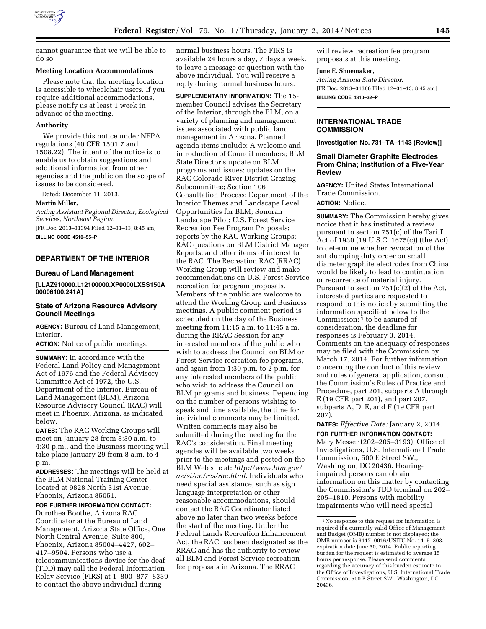

cannot guarantee that we will be able to do so.

### **Meeting Location Accommodations**

Please note that the meeting location is accessible to wheelchair users. If you require additional accommodations, please notify us at least 1 week in advance of the meeting.

#### **Authority**

We provide this notice under NEPA regulations (40 CFR 1501.7 and 1508.22). The intent of the notice is to enable us to obtain suggestions and additional information from other agencies and the public on the scope of issues to be considered.

Dated: December 11, 2013.

#### **Martin Miller,**

*Acting Assistant Regional Director, Ecological Services, Northeast Region.* 

[FR Doc. 2013–31394 Filed 12–31–13; 8:45 am] **BILLING CODE 4510–55–P** 

### **DEPARTMENT OF THE INTERIOR**

#### **Bureau of Land Management**

**[LLAZ910000.L12100000.XP0000LXSS150A 00006100.241A]** 

## **State of Arizona Resource Advisory Council Meetings**

**AGENCY:** Bureau of Land Management, Interior.

**ACTION:** Notice of public meetings.

**SUMMARY:** In accordance with the Federal Land Policy and Management Act of 1976 and the Federal Advisory Committee Act of 1972, the U.S. Department of the Interior, Bureau of Land Management (BLM), Arizona Resource Advisory Council (RAC) will meet in Phoenix, Arizona, as indicated below.

**DATES:** The RAC Working Groups will meet on January 28 from 8:30 a.m. to 4:30 p.m., and the Business meeting will take place January 29 from 8 a.m. to 4 p.m.

**ADDRESSES:** The meetings will be held at the BLM National Training Center located at 9828 North 31st Avenue, Phoenix, Arizona 85051.

**FOR FURTHER INFORMATION CONTACT:** 

Dorothea Boothe, Arizona RAC Coordinator at the Bureau of Land Management, Arizona State Office, One North Central Avenue, Suite 800, Phoenix, Arizona 85004–4427, 602– 417–9504. Persons who use a telecommunications device for the deaf (TDD) may call the Federal Information Relay Service (FIRS) at 1–800–877–8339 to contact the above individual during

normal business hours. The FIRS is available 24 hours a day, 7 days a week, to leave a message or question with the above individual. You will receive a reply during normal business hours.

**SUPPLEMENTARY INFORMATION:** The 15 member Council advises the Secretary of the Interior, through the BLM, on a variety of planning and management issues associated with public land management in Arizona. Planned agenda items include: A welcome and introduction of Council members; BLM State Director's update on BLM programs and issues; updates on the RAC Colorado River District Grazing Subcommittee; Section 106 Consultation Process; Department of the Interior Themes and Landscape Level Opportunities for BLM; Sonoran Landscape Pilot; U.S. Forest Service Recreation Fee Program Proposals; reports by the RAC Working Groups; RAC questions on BLM District Manager Reports; and other items of interest to the RAC. The Recreation RAC (RRAC) Working Group will review and make recommendations on U.S. Forest Service recreation fee program proposals. Members of the public are welcome to attend the Working Group and Business meetings. A public comment period is scheduled on the day of the Business meeting from 11:15 a.m. to 11:45 a.m. during the RRAC Session for any interested members of the public who wish to address the Council on BLM or Forest Service recreation fee programs, and again from 1:30 p.m. to 2 p.m. for any interested members of the public who wish to address the Council on BLM programs and business. Depending on the number of persons wishing to speak and time available, the time for individual comments may be limited. Written comments may also be submitted during the meeting for the RAC's consideration. Final meeting agendas will be available two weeks prior to the meetings and posted on the BLM Web site at: *[http://www.blm.gov/](http://www.blm.gov/az/st/en/res/rac.html) [az/st/en/res/rac.html](http://www.blm.gov/az/st/en/res/rac.html)*. Individuals who need special assistance, such as sign language interpretation or other reasonable accommodations, should contact the RAC Coordinator listed above no later than two weeks before the start of the meeting. Under the Federal Lands Recreation Enhancement Act, the RAC has been designated as the RRAC and has the authority to review all BLM and Forest Service recreation fee proposals in Arizona. The RRAC

will review recreation fee program proposals at this meeting.

#### **June E. Shoemaker,**

*Acting Arizona State Director.*  [FR Doc. 2013–31386 Filed 12–31–13; 8:45 am] **BILLING CODE 4310–32–P** 

### **INTERNATIONAL TRADE COMMISSION**

**[Investigation No. 731–TA–1143 (Review)]** 

#### **Small Diameter Graphite Electrodes From China; Institution of a Five-Year Review**

**AGENCY:** United States International Trade Commission. **ACTION:** Notice.

**SUMMARY:** The Commission hereby gives notice that it has instituted a review pursuant to section 751(c) of the Tariff Act of 1930 (19 U.S.C. 1675(c)) (the Act) to determine whether revocation of the antidumping duty order on small diameter graphite electrodes from China would be likely to lead to continuation or recurrence of material injury. Pursuant to section 751(c)(2) of the Act, interested parties are requested to respond to this notice by submitting the information specified below to the Commission; 1 to be assured of consideration, the deadline for responses is February 3, 2014. Comments on the adequacy of responses may be filed with the Commission by March 17, 2014. For further information concerning the conduct of this review and rules of general application, consult the Commission's Rules of Practice and Procedure, part 201, subparts A through E (19 CFR part 201), and part 207, subparts A, D, E, and F (19 CFR part 207).

#### **DATES:** *Effective Date:* January 2, 2014.

**FOR FURTHER INFORMATION CONTACT:**  Mary Messer (202–205–3193), Office of Investigations, U.S. International Trade Commission, 500 E Street SW., Washington, DC 20436. Hearingimpaired persons can obtain information on this matter by contacting the Commission's TDD terminal on 202– 205–1810. Persons with mobility impairments who will need special

<sup>1</sup>No response to this request for information is required if a currently valid Office of Management and Budget (OMB) number is not displayed; the OMB number is 3117–0016/USITC No. 14–5–303, expiration date June 30, 2014. Public reporting burden for the request is estimated to average 15 hours per response. Please send comments regarding the accuracy of this burden estimate to the Office of Investigations, U.S. International Trade Commission, 500 E Street SW., Washington, DC 20436.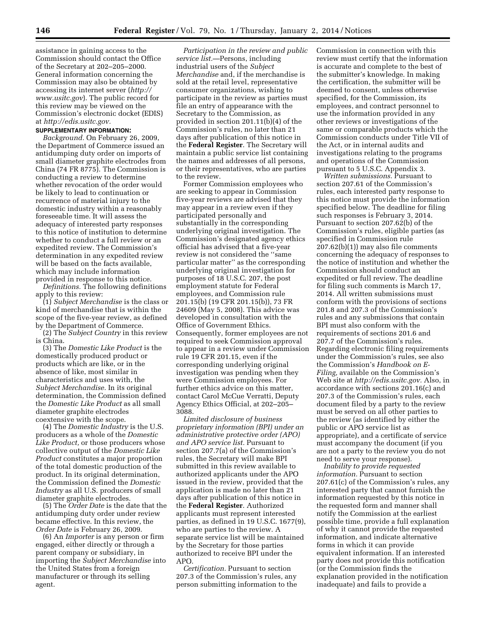assistance in gaining access to the Commission should contact the Office of the Secretary at 202–205–2000. General information concerning the Commission may also be obtained by accessing its internet server (*[http://](http://www.usitc.gov) [www.usitc.gov](http://www.usitc.gov)*). The public record for this review may be viewed on the Commission's electronic docket (EDIS) at *[http://edis.usitc.gov.](http://edis.usitc.gov)* 

## **SUPPLEMENTARY INFORMATION:**

*Background.* On February 26, 2009, the Department of Commerce issued an antidumping duty order on imports of small diameter graphite electrodes from China (74 FR 8775). The Commission is conducting a review to determine whether revocation of the order would be likely to lead to continuation or recurrence of material injury to the domestic industry within a reasonably foreseeable time. It will assess the adequacy of interested party responses to this notice of institution to determine whether to conduct a full review or an expedited review. The Commission's determination in any expedited review will be based on the facts available, which may include information provided in response to this notice.

*Definitions.* The following definitions apply to this review:

(1) *Subject Merchandise* is the class or kind of merchandise that is within the scope of the five-year review, as defined by the Department of Commerce.

(2) The *Subject Country* in this review is China.

(3) The *Domestic Like Product* is the domestically produced product or products which are like, or in the absence of like, most similar in characteristics and uses with, the *Subject Merchandise.* In its original determination, the Commission defined the *Domestic Like Product* as all small diameter graphite electrodes coextensive with the scope.

(4) The *Domestic Industry* is the U.S. producers as a whole of the *Domestic Like Product,* or those producers whose collective output of the *Domestic Like Product* constitutes a major proportion of the total domestic production of the product. In its original determination, the Commission defined the *Domestic Industry* as all U.S. producers of small diameter graphite electrodes.

(5) The *Order Date* is the date that the antidumping duty order under review became effective. In this review, the *Order Date* is February 26, 2009.

(6) An *Importer* is any person or firm engaged, either directly or through a parent company or subsidiary, in importing the *Subject Merchandise* into the United States from a foreign manufacturer or through its selling agent.

*Participation in the review and public service list.*—Persons, including industrial users of the *Subject Merchandise* and, if the merchandise is sold at the retail level, representative consumer organizations, wishing to participate in the review as parties must file an entry of appearance with the Secretary to the Commission, as provided in section 201.11(b)(4) of the Commission's rules, no later than 21 days after publication of this notice in the **Federal Register**. The Secretary will maintain a public service list containing the names and addresses of all persons, or their representatives, who are parties to the review.

Former Commission employees who are seeking to appear in Commission five-year reviews are advised that they may appear in a review even if they participated personally and substantially in the corresponding underlying original investigation. The Commission's designated agency ethics official has advised that a five-year review is not considered the ''same particular matter'' as the corresponding underlying original investigation for purposes of 18 U.S.C. 207, the post employment statute for Federal employees, and Commission rule 201.15(b) (19 CFR 201.15(b)), 73 FR 24609 (May 5, 2008). This advice was developed in consultation with the Office of Government Ethics. Consequently, former employees are not required to seek Commission approval to appear in a review under Commission rule 19 CFR 201.15, even if the corresponding underlying original investigation was pending when they were Commission employees. For further ethics advice on this matter, contact Carol McCue Verratti, Deputy Agency Ethics Official, at 202–205– 3088.

*Limited disclosure of business proprietary information (BPI) under an administrative protective order (APO) and APO service list.* Pursuant to section 207.7(a) of the Commission's rules, the Secretary will make BPI submitted in this review available to authorized applicants under the APO issued in the review, provided that the application is made no later than 21 days after publication of this notice in the **Federal Register**. Authorized applicants must represent interested parties, as defined in 19 U.S.C. 1677(9), who are parties to the review. A separate service list will be maintained by the Secretary for those parties authorized to receive BPI under the APO.

*Certification.* Pursuant to section 207.3 of the Commission's rules, any person submitting information to the Commission in connection with this review must certify that the information is accurate and complete to the best of the submitter's knowledge. In making the certification, the submitter will be deemed to consent, unless otherwise specified, for the Commission, its employees, and contract personnel to use the information provided in any other reviews or investigations of the same or comparable products which the Commission conducts under Title VII of the Act, or in internal audits and investigations relating to the programs and operations of the Commission pursuant to 5 U.S.C. Appendix 3.

*Written submissions.* Pursuant to section 207.61 of the Commission's rules, each interested party response to this notice must provide the information specified below. The deadline for filing such responses is February 3, 2014. Pursuant to section 207.62(b) of the Commission's rules, eligible parties (as specified in Commission rule 207.62(b)(1)) may also file comments concerning the adequacy of responses to the notice of institution and whether the Commission should conduct an expedited or full review. The deadline for filing such comments is March 17, 2014. All written submissions must conform with the provisions of sections 201.8 and 207.3 of the Commission's rules and any submissions that contain BPI must also conform with the requirements of sections 201.6 and 207.7 of the Commission's rules. Regarding electronic filing requirements under the Commission's rules, see also the Commission's *Handbook on E-Filing,* available on the Commission's Web site at *[http://edis.usitc.gov.](http://edis.usitc.gov)* Also, in accordance with sections 201.16(c) and 207.3 of the Commission's rules, each document filed by a party to the review must be served on all other parties to the review (as identified by either the public or APO service list as appropriate), and a certificate of service must accompany the document (if you are not a party to the review you do not need to serve your response).

*Inability to provide requested information.* Pursuant to section 207.61(c) of the Commission's rules, any interested party that cannot furnish the information requested by this notice in the requested form and manner shall notify the Commission at the earliest possible time, provide a full explanation of why it cannot provide the requested information, and indicate alternative forms in which it can provide equivalent information. If an interested party does not provide this notification (or the Commission finds the explanation provided in the notification inadequate) and fails to provide a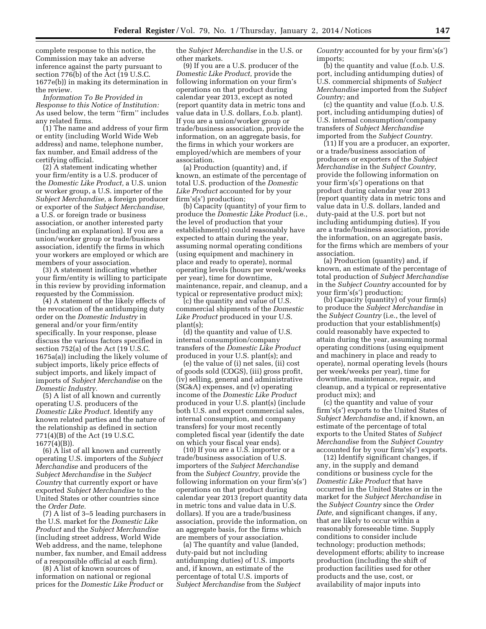complete response to this notice, the Commission may take an adverse inference against the party pursuant to section 776(b) of the Act (19 U.S.C. 1677e(b)) in making its determination in the review.

*Information To Be Provided in Response to this Notice of Institution:*  As used below, the term ''firm'' includes any related firms.

(1) The name and address of your firm or entity (including World Wide Web address) and name, telephone number, fax number, and Email address of the certifying official.

(2) A statement indicating whether your firm/entity is a U.S. producer of the *Domestic Like Product,* a U.S. union or worker group, a U.S. importer of the *Subject Merchandise,* a foreign producer or exporter of the *Subject Merchandise,*  a U.S. or foreign trade or business association, or another interested party (including an explanation). If you are a union/worker group or trade/business association, identify the firms in which your workers are employed or which are members of your association.

(3) A statement indicating whether your firm/entity is willing to participate in this review by providing information requested by the Commission.

(4) A statement of the likely effects of the revocation of the antidumping duty order on the *Domestic Industry* in general and/or your firm/entity specifically. In your response, please discuss the various factors specified in section 752(a) of the Act (19 U.S.C. 1675a(a)) including the likely volume of subject imports, likely price effects of subject imports, and likely impact of imports of *Subject Merchandise* on the *Domestic Industry.* 

(5) A list of all known and currently operating U.S. producers of the *Domestic Like Product.* Identify any known related parties and the nature of the relationship as defined in section 771(4)(B) of the Act (19 U.S.C. 1677(4)(B)).

(6) A list of all known and currently operating U.S. importers of the *Subject Merchandise* and producers of the *Subject Merchandise* in the *Subject Country* that currently export or have exported *Subject Merchandise* to the United States or other countries since the *Order Date.* 

(7) A list of 3–5 leading purchasers in the U.S. market for the *Domestic Like Product* and the *Subject Merchandise*  (including street address, World Wide Web address, and the name, telephone number, fax number, and Email address of a responsible official at each firm).

(8) A list of known sources of information on national or regional prices for the *Domestic Like Product* or the *Subject Merchandise* in the U.S. or other markets.

(9) If you are a U.S. producer of the *Domestic Like Product,* provide the following information on your firm's operations on that product during calendar year 2013, except as noted (report quantity data in metric tons and value data in U.S. dollars, f.o.b. plant). If you are a union/worker group or trade/business association, provide the information, on an aggregate basis, for the firms in which your workers are employed/which are members of your association.

(a) Production (quantity) and, if known, an estimate of the percentage of total U.S. production of the *Domestic Like Product* accounted for by your firm's(s') production;

(b) Capacity (quantity) of your firm to produce the *Domestic Like Product* (i.e., the level of production that your establishment(s) could reasonably have expected to attain during the year, assuming normal operating conditions (using equipment and machinery in place and ready to operate), normal operating levels (hours per week/weeks per year), time for downtime, maintenance, repair, and cleanup, and a typical or representative product mix);

(c) the quantity and value of U.S. commercial shipments of the *Domestic Like Product* produced in your U.S. plant(s);

(d) the quantity and value of U.S. internal consumption/company transfers of the *Domestic Like Product*  produced in your U.S. plant(s); and

(e) the value of (i) net sales, (ii) cost of goods sold (COGS), (iii) gross profit, (iv) selling, general and administrative (SG&A) expenses, and (v) operating income of the *Domestic Like Product*  produced in your U.S. plant(s) (include both U.S. and export commercial sales, internal consumption, and company transfers) for your most recently completed fiscal year (identify the date on which your fiscal year ends).

(10) If you are a U.S. importer or a trade/business association of U.S. importers of the *Subject Merchandise*  from the *Subject Country,* provide the following information on your firm's(s') operations on that product during calendar year 2013 (report quantity data in metric tons and value data in U.S. dollars). If you are a trade/business association, provide the information, on an aggregate basis, for the firms which are members of your association.

(a) The quantity and value (landed, duty-paid but not including antidumping duties) of U.S. imports and, if known, an estimate of the percentage of total U.S. imports of *Subject Merchandise* from the *Subject*  *Country* accounted for by your firm's(s') imports;

(b) the quantity and value (f.o.b. U.S. port, including antidumping duties) of U.S. commercial shipments of *Subject Merchandise* imported from the *Subject Country;* and

(c) the quantity and value (f.o.b. U.S. port, including antidumping duties) of U.S. internal consumption/company transfers of *Subject Merchandise*  imported from the *Subject Country.* 

(11) If you are a producer, an exporter, or a trade/business association of producers or exporters of the *Subject Merchandise* in the *Subject Country,*  provide the following information on your firm's(s') operations on that product during calendar year 2013 (report quantity data in metric tons and value data in U.S. dollars, landed and duty-paid at the U.S. port but not including antidumping duties). If you are a trade/business association, provide the information, on an aggregate basis, for the firms which are members of your association.

(a) Production (quantity) and, if known, an estimate of the percentage of total production of *Subject Merchandise*  in the *Subject Country* accounted for by your firm's(s') production;

(b) Capacity (quantity) of your firm(s) to produce the *Subject Merchandise* in the *Subject Country* (i.e., the level of production that your establishment(s) could reasonably have expected to attain during the year, assuming normal operating conditions (using equipment and machinery in place and ready to operate), normal operating levels (hours per week/weeks per year), time for downtime, maintenance, repair, and cleanup, and a typical or representative product mix); and

(c) the quantity and value of your firm's(s') exports to the United States of *Subject Merchandise* and, if known, an estimate of the percentage of total exports to the United States of *Subject Merchandise* from the *Subject Country*  accounted for by your firm's(s') exports.

(12) Identify significant changes, if any, in the supply and demand conditions or business cycle for the *Domestic Like Product* that have occurred in the United States or in the market for the *Subject Merchandise* in the *Subject Country* since the *Order Date,* and significant changes, if any, that are likely to occur within a reasonably foreseeable time. Supply conditions to consider include technology; production methods; development efforts; ability to increase production (including the shift of production facilities used for other products and the use, cost, or availability of major inputs into